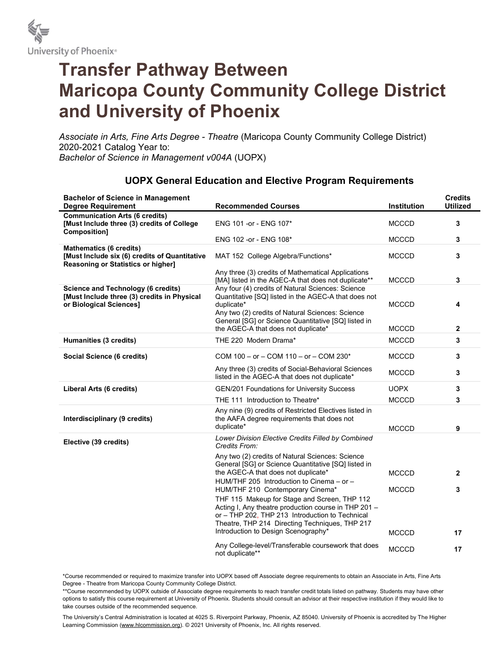

## Transfer Pathway Between Maricopa County Community College District and University of Phoenix

Associate in Arts, Fine Arts Degree - Theatre (Maricopa County Community College District) 2020-2021 Catalog Year to: Bachelor of Science in Management v004A (UOPX)

| <b>Bachelor of Science in Management</b><br><b>Degree Requirement</b>                                                        | <b>Recommended Courses</b>                                                                                                                                                                                                                       | Institution                  | <b>Credits</b><br><b>Utilized</b> |
|------------------------------------------------------------------------------------------------------------------------------|--------------------------------------------------------------------------------------------------------------------------------------------------------------------------------------------------------------------------------------------------|------------------------------|-----------------------------------|
| <b>Communication Arts (6 credits)</b><br>[Must Include three (3) credits of College<br><b>Composition]</b>                   | ENG 101 -or - ENG 107*                                                                                                                                                                                                                           | <b>MCCCD</b>                 | 3                                 |
|                                                                                                                              | ENG 102 -or - ENG 108*                                                                                                                                                                                                                           | <b>MCCCD</b>                 | 3                                 |
| <b>Mathematics (6 credits)</b><br>[Must Include six (6) credits of Quantitative<br><b>Reasoning or Statistics or higher]</b> | MAT 152 College Algebra/Functions*                                                                                                                                                                                                               | <b>MCCCD</b>                 | 3                                 |
|                                                                                                                              | Any three (3) credits of Mathematical Applications<br>[MA] listed in the AGEC-A that does not duplicate**                                                                                                                                        | <b>MCCCD</b>                 | 3                                 |
| <b>Science and Technology (6 credits)</b><br>[Must Include three (3) credits in Physical<br>or Biological Sciences]          | Any four (4) credits of Natural Sciences: Science<br>Quantitative [SQ] listed in the AGEC-A that does not<br>duplicate*<br>Any two (2) credits of Natural Sciences: Science<br>General [SG] or Science Quantitative [SQ] listed in               | MCCCD                        | 4                                 |
|                                                                                                                              | the AGEC-A that does not duplicate*                                                                                                                                                                                                              | <b>MCCCD</b>                 | 2                                 |
| Humanities (3 credits)                                                                                                       | THE 220 Modern Drama*                                                                                                                                                                                                                            | <b>MCCCD</b>                 | 3                                 |
| Social Science (6 credits)                                                                                                   | COM 100 - or - COM 110 - or - COM 230*                                                                                                                                                                                                           | <b>MCCCD</b>                 | 3                                 |
|                                                                                                                              | Any three (3) credits of Social-Behavioral Sciences<br>listed in the AGEC-A that does not duplicate*                                                                                                                                             | <b>MCCCD</b>                 | 3                                 |
| Liberal Arts (6 credits)                                                                                                     | GEN/201 Foundations for University Success                                                                                                                                                                                                       | <b>UOPX</b>                  | 3                                 |
|                                                                                                                              | THE 111 Introduction to Theatre*                                                                                                                                                                                                                 | <b>MCCCD</b>                 | 3                                 |
| Interdisciplinary (9 credits)                                                                                                | Any nine (9) credits of Restricted Electives listed in<br>the AAFA degree requirements that does not<br>duplicate*                                                                                                                               | <b>MCCCD</b>                 | 9                                 |
| Elective (39 credits)                                                                                                        | Lower Division Elective Credits Filled by Combined<br>Credits From:                                                                                                                                                                              |                              |                                   |
|                                                                                                                              | Any two (2) credits of Natural Sciences: Science<br>General [SG] or Science Quantitative [SQ] listed in<br>the AGEC-A that does not duplicate*<br>HUM/THF 205 Introduction to Cinema - or -<br>HUM/THF 210 Contemporary Cinema*                  | <b>MCCCD</b><br><b>MCCCD</b> | $\mathbf{2}$<br>3                 |
|                                                                                                                              | THF 115 Makeup for Stage and Screen, THP 112<br>Acting I, Any theatre production course in THP 201 -<br>or - THP 202, THP 213 Introduction to Technical<br>Theatre, THP 214 Directing Techniques, THP 217<br>Introduction to Design Scenography* | <b>MCCCD</b>                 | 17                                |
|                                                                                                                              | Any College-level/Transferable coursework that does<br>not duplicate**                                                                                                                                                                           | <b>MCCCD</b>                 | 17                                |

## UOPX General Education and Elective Program Requirements

\*Course recommended or required to maximize transfer into UOPX based off Associate degree requirements to obtain an Associate in Arts, Fine Arts Degree - Theatre from Maricopa County Community College District.

\*\*Course recommended by UOPX outside of Associate degree requirements to reach transfer credit totals listed on pathway. Students may have other options to satisfy this course requirement at University of Phoenix. Students should consult an advisor at their respective institution if they would like to take courses outside of the recommended sequence.

The University's Central Administration is located at 4025 S. Riverpoint Parkway, Phoenix, AZ 85040. University of Phoenix is accredited by The Higher Learning Commission (www.hlcommission.org). © 2021 University of Phoenix, Inc. All rights reserved.